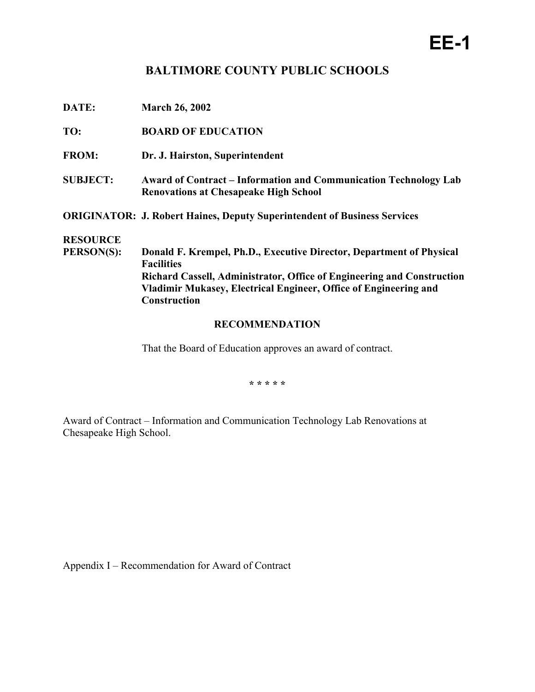## **EE-1**

## **BALTIMORE COUNTY PUBLIC SCHOOLS**

| DATE:           | <b>March 26, 2002</b>                                                                                                   |  |
|-----------------|-------------------------------------------------------------------------------------------------------------------------|--|
| TO:             | <b>BOARD OF EDUCATION</b>                                                                                               |  |
| <b>FROM:</b>    | Dr. J. Hairston, Superintendent                                                                                         |  |
| <b>SUBJECT:</b> | <b>Award of Contract – Information and Communication Technology Lab</b><br><b>Renovations at Chesapeake High School</b> |  |
|                 | <b>ORIGINATOR: J. Robert Haines, Deputy Superintendent of Business Services</b>                                         |  |
| <b>RESOURCE</b> |                                                                                                                         |  |
| PERSON(S):      | Donald F. Krempel, Ph.D., Executive Director, Department of Physical<br><b>Facilities</b>                               |  |
|                 | Richard Cassell, Administrator, Office of Engineering and Construction                                                  |  |
|                 | Vladimir Mukasey, Electrical Engineer, Office of Engineering and                                                        |  |
|                 | <b>Construction</b>                                                                                                     |  |
|                 |                                                                                                                         |  |

## **RECOMMENDATION**

That the Board of Education approves an award of contract.

**\* \* \* \* \*** 

Award of Contract – Information and Communication Technology Lab Renovations at Chesapeake High School.

Appendix I – Recommendation for Award of Contract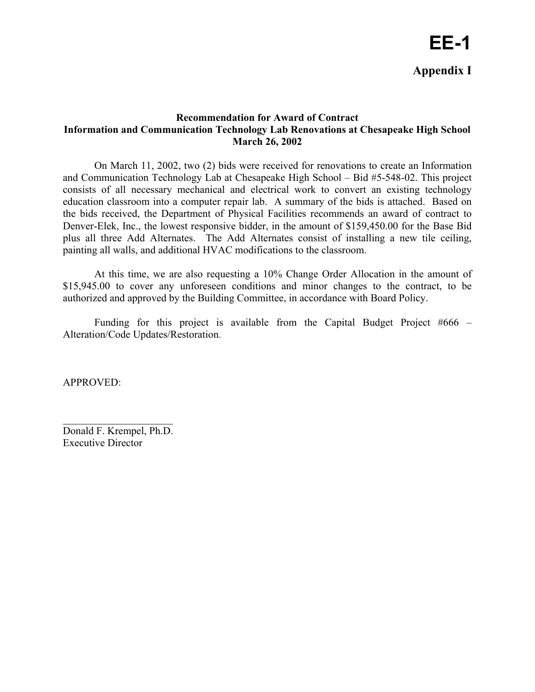## **Recommendation for Award of Contract Information and Communication Technology Lab Renovations at Chesapeake High School March 26, 2002**

 On March 11, 2002, two (2) bids were received for renovations to create an Information and Communication Technology Lab at Chesapeake High School – Bid #5-548-02. This project consists of all necessary mechanical and electrical work to convert an existing technology education classroom into a computer repair lab. A summary of the bids is attached. Based on the bids received, the Department of Physical Facilities recommends an award of contract to Denver-Elek, Inc., the lowest responsive bidder, in the amount of \$159,450.00 for the Base Bid plus all three Add Alternates. The Add Alternates consist of installing a new tile ceiling, painting all walls, and additional HVAC modifications to the classroom.

 At this time, we are also requesting a 10% Change Order Allocation in the amount of \$15,945.00 to cover any unforeseen conditions and minor changes to the contract, to be authorized and approved by the Building Committee, in accordance with Board Policy.

Funding for this project is available from the Capital Budget Project  $#666 -$ Alteration/Code Updates/Restoration.

APPROVED:

Donald F. Krempel, Ph.D. Executive Director

 $\mathcal{L}_\text{max}$  , where  $\mathcal{L}_\text{max}$  , we have the set of  $\mathcal{L}_\text{max}$